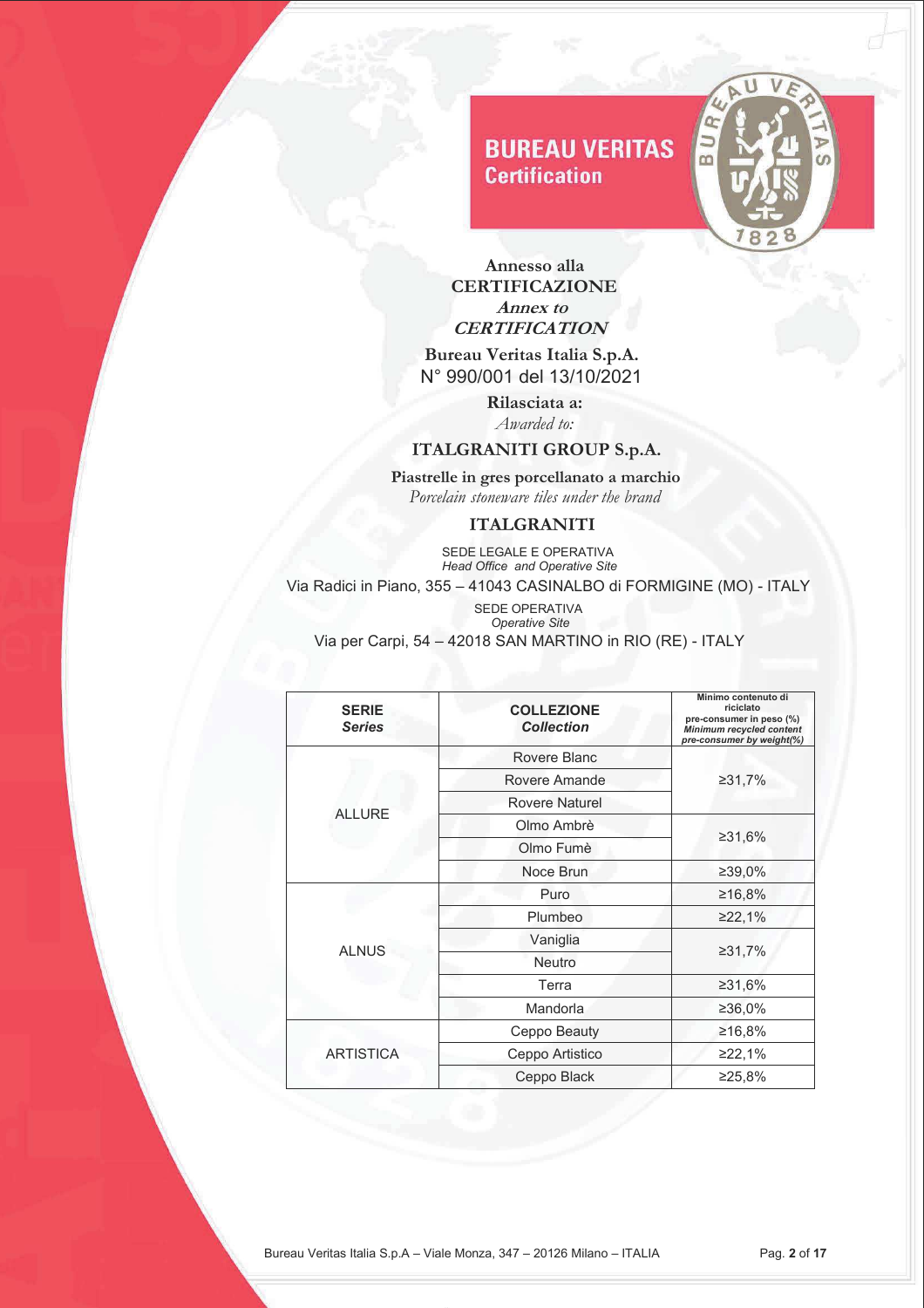

 **Annesso alla CERTIFICAZIONE Annex to CERTIFICATION** 

 **Bureau Veritas Italia S.p.A.** N° 990/001 del 13/10/2021

> **Rilasciata a:** *Awarded to:*

### **ITALGRANITI GROUP S.p.A.**

 **Piastrelle in gres porcellanato a marchio**   *Porcelain stoneware tiles under the brand* 

#### **ITALGRANITI**

**SEDE LEGALE E OPERATIVA**  *Head Office and Operative Site* Via Radici in Piano, 355 – 41043 CASINALBO di FORMIGINE (MO) - ITALY SEDE OPERATIVA

| <b>SERIE</b><br><b>Series</b> | <b>COLLEZIONE</b><br><b>Collection</b> | Minimo contenuto di<br>riciclato<br>pre-consumer in peso (%)<br>Minimum recycled content<br>pre-consumer by weight(%) |
|-------------------------------|----------------------------------------|-----------------------------------------------------------------------------------------------------------------------|
|                               | Rovere Blanc                           |                                                                                                                       |
|                               | Rovere Amande                          | ≥31,7%                                                                                                                |
| <b>ALLURE</b>                 | <b>Rovere Naturel</b>                  |                                                                                                                       |
|                               | Olmo Ambrè                             |                                                                                                                       |
|                               | Olmo Fumè                              | ≥31,6%                                                                                                                |
|                               | Noce Brun                              | ≥39.0%                                                                                                                |
|                               | Puro                                   | ≥16,8%                                                                                                                |
|                               | Plumbeo                                | ≥22,1%                                                                                                                |
|                               | Vaniglia                               |                                                                                                                       |
| <b>ALNUS</b>                  | Neutro                                 | ≥31,7%                                                                                                                |
|                               | Terra                                  | ≥31,6%                                                                                                                |
|                               | Mandorla                               | ≥36,0%                                                                                                                |
| <b>ARTISTICA</b>              | Ceppo Beauty                           | ≥16,8%                                                                                                                |
|                               | Ceppo Artistico                        | ≥22,1%                                                                                                                |
|                               | Ceppo Black                            | ≥25,8%                                                                                                                |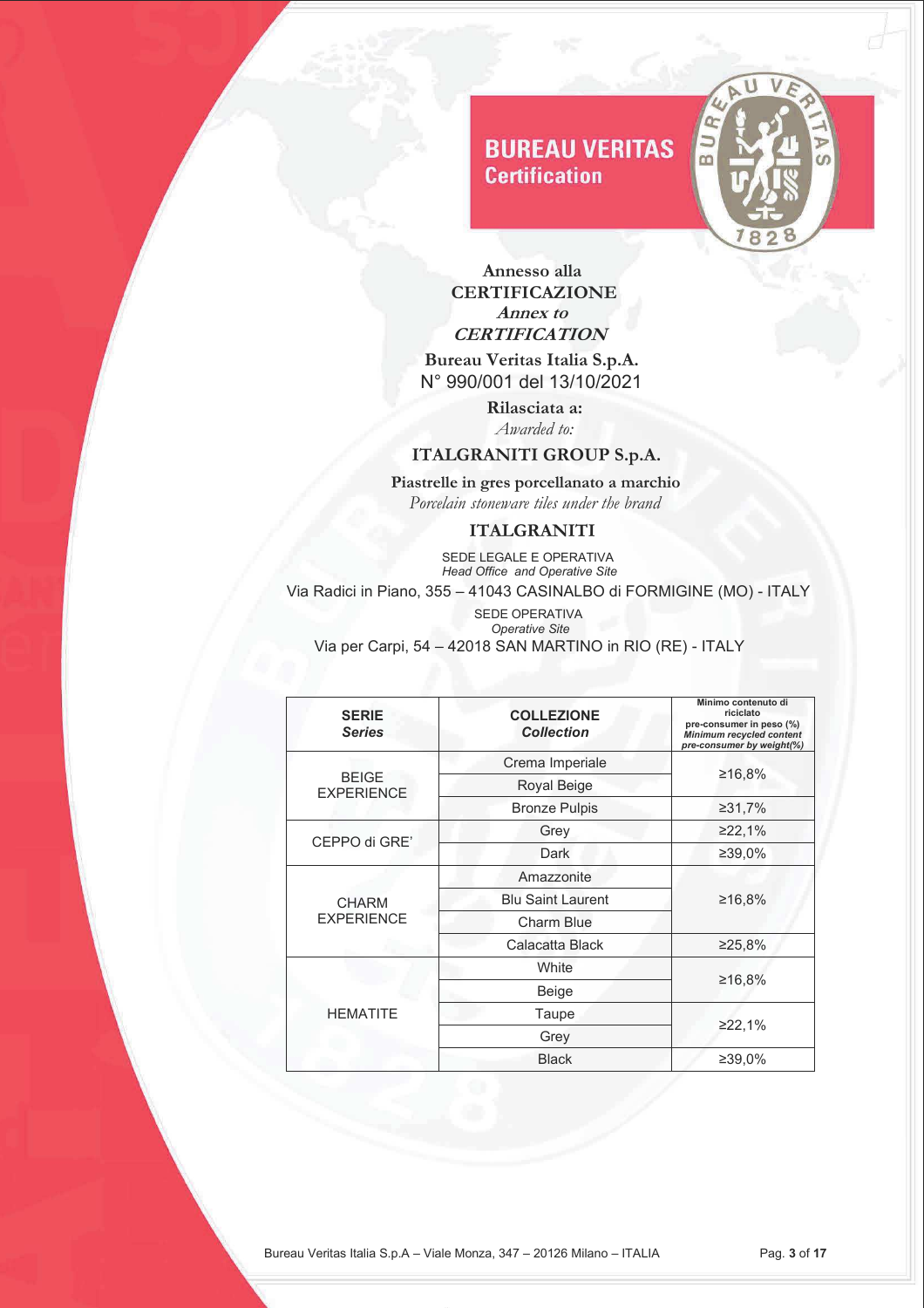

 **Annesso alla CERTIFICAZIONE Annex to CERTIFICATION** 

 **Bureau Veritas Italia S.p.A.** N° 990/001 del 13/10/2021

> **Rilasciata a:** *Awarded to:*

## **ITALGRANITI GROUP S.p.A.**

 **Piastrelle in gres porcellanato a marchio**   *Porcelain stoneware tiles under the brand* 

### **ITALGRANITI**

**SEDE LEGALE E OPERATIVA**  *Head Office and Operative Site* Via Radici in Piano, 355 – 41043 CASINALBO di FORMIGINE (MO) - ITALY

| <b>SERIE</b><br><b>Series</b>     | <b>COLLEZIONE</b><br><b>Collection</b> | Minimo contenuto di<br>riciclato<br>pre-consumer in peso (%)<br><b>Minimum recycled content</b><br>pre-consumer by weight(%) |
|-----------------------------------|----------------------------------------|------------------------------------------------------------------------------------------------------------------------------|
|                                   | Crema Imperiale                        |                                                                                                                              |
| <b>BEIGE</b><br><b>EXPERIENCE</b> | Royal Beige                            | ≥16,8%                                                                                                                       |
|                                   | <b>Bronze Pulpis</b>                   | ≥31,7%                                                                                                                       |
|                                   | Grey                                   | ≥22,1%                                                                                                                       |
| CEPPO di GRE'                     | Dark                                   | ≥39,0%                                                                                                                       |
|                                   | Amazzonite                             |                                                                                                                              |
| <b>CHARM</b>                      | <b>Blu Saint Laurent</b>               | ≥16,8%                                                                                                                       |
| <b>EXPERIENCE</b>                 | <b>Charm Blue</b>                      |                                                                                                                              |
|                                   | Calacatta Black                        | ≥25,8%                                                                                                                       |
|                                   | White                                  |                                                                                                                              |
| <b>HEMATITE</b>                   | Beige                                  | ≥16,8%                                                                                                                       |
|                                   | Taupe                                  |                                                                                                                              |
|                                   | Grey                                   | ≥22,1%                                                                                                                       |
|                                   | <b>Black</b>                           | ≥39,0%                                                                                                                       |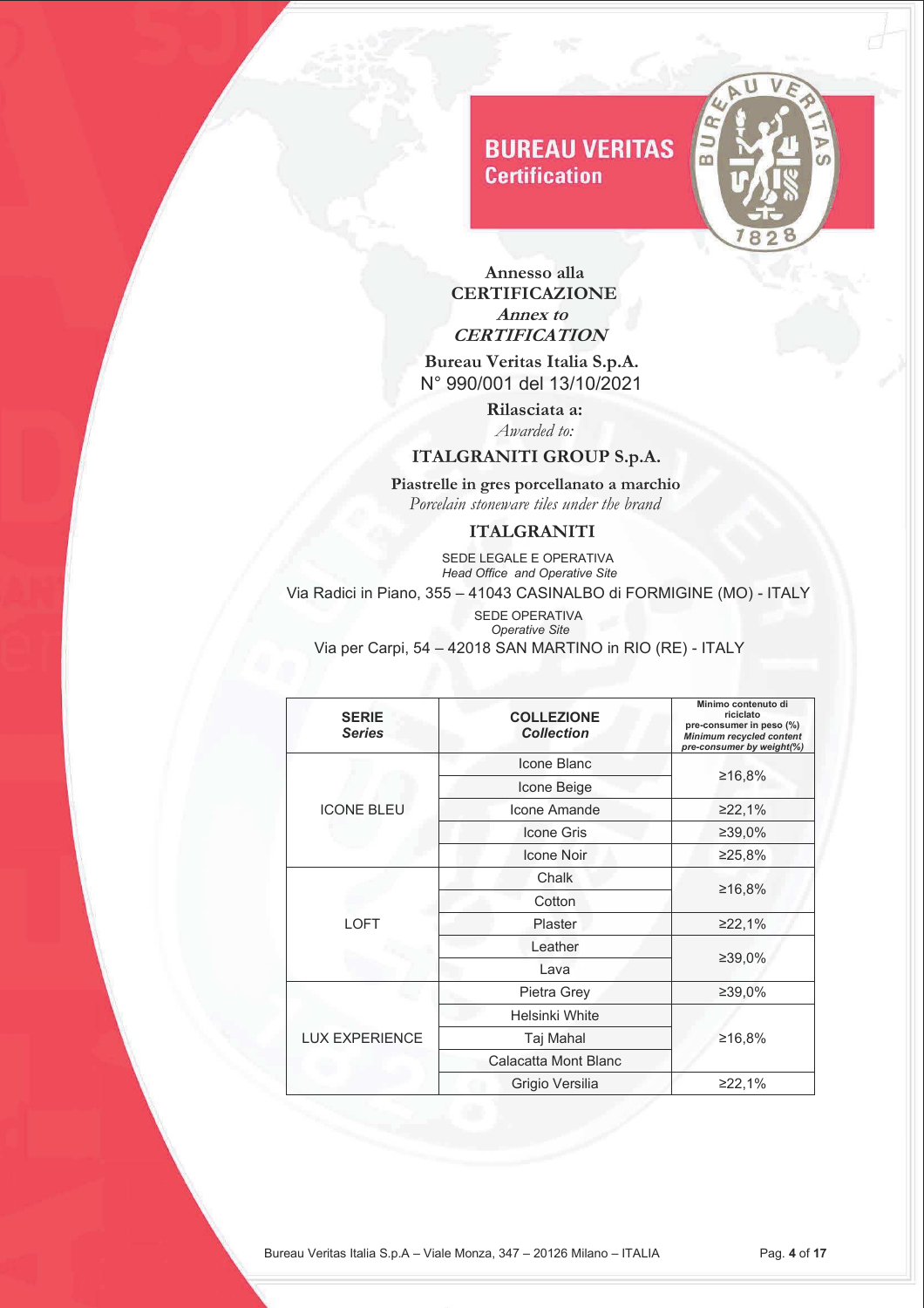

 **Annesso alla CERTIFICAZIONE Annex to CERTIFICATION** 

 **Bureau Veritas Italia S.p.A.** N° 990/001 del 13/10/2021

> **Rilasciata a:** *Awarded to:*

## **ITALGRANITI GROUP S.p.A.**

 **Piastrelle in gres porcellanato a marchio**   *Porcelain stoneware tiles under the brand* 

### **ITALGRANITI**

**SEDE LEGALE E OPERATIVA**  *Head Office and Operative Site* Via Radici in Piano, 355 – 41043 CASINALBO di FORMIGINE (MO) - ITALY

| <b>SERIE</b><br><b>Series</b> | <b>COLLEZIONE</b><br><b>Collection</b> | Minimo contenuto di<br>riciclato<br>pre-consumer in peso (%)<br><b>Minimum recycled content</b><br>pre-consumer by weight(%) |
|-------------------------------|----------------------------------------|------------------------------------------------------------------------------------------------------------------------------|
|                               | Icone Blanc                            |                                                                                                                              |
|                               | Icone Beige                            | ≥16,8%                                                                                                                       |
| <b>ICONE BLEU</b>             | Icone Amande                           | ≥22,1%                                                                                                                       |
|                               | <b>Icone Gris</b>                      | ≥39,0%                                                                                                                       |
|                               | <b>Icone Noir</b>                      | ≥25,8%                                                                                                                       |
|                               | Chalk                                  | ≥16,8%                                                                                                                       |
|                               | Cotton                                 |                                                                                                                              |
| <b>LOFT</b>                   | Plaster                                | ≥22,1%                                                                                                                       |
|                               | Leather                                |                                                                                                                              |
|                               | Lava                                   | ≥39,0%                                                                                                                       |
|                               | Pietra Grey                            | ≥39,0%                                                                                                                       |
|                               | Helsinki White                         |                                                                                                                              |
| <b>LUX EXPERIENCE</b>         | Taj Mahal                              | ≥16,8%                                                                                                                       |
|                               | Calacatta Mont Blanc                   |                                                                                                                              |
|                               | Grigio Versilia                        | ≥22,1%                                                                                                                       |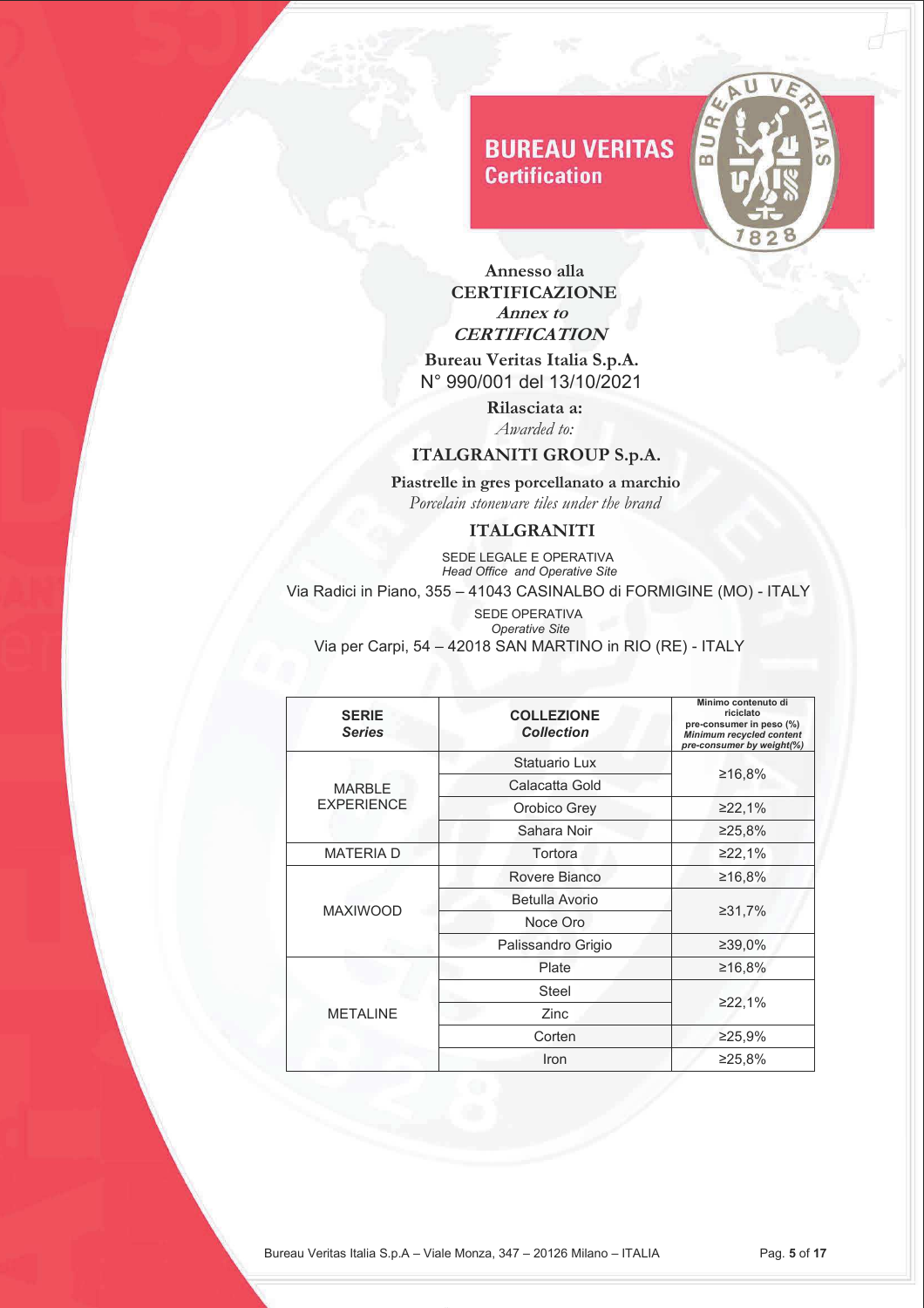

 **Annesso alla CERTIFICAZIONE Annex to CERTIFICATION** 

 **Bureau Veritas Italia S.p.A.** N° 990/001 del 13/10/2021

> **Rilasciata a:** *Awarded to:*

### **ITALGRANITI GROUP S.p.A.**

 **Piastrelle in gres porcellanato a marchio**   *Porcelain stoneware tiles under the brand* 

#### **ITALGRANITI**

**SEDE LEGALE E OPERATIVA**  *Head Office and Operative Site* Via Radici in Piano, 355 – 41043 CASINALBO di FORMIGINE (MO) - ITALY

| <b>SERIE</b><br><b>Series</b> | <b>COLLEZIONE</b><br><b>Collection</b> | Minimo contenuto di<br>riciclato<br>pre-consumer in peso (%)<br><b>Minimum recycled content</b><br>pre-consumer by weight(%) |
|-------------------------------|----------------------------------------|------------------------------------------------------------------------------------------------------------------------------|
|                               | Statuario Lux                          |                                                                                                                              |
| <b>MARBLE</b>                 | Calacatta Gold                         | ≥16,8%                                                                                                                       |
| <b>EXPERIENCE</b>             | Orobico Grey                           | ≥22,1%                                                                                                                       |
|                               | Sahara Noir                            | ≥25,8%                                                                                                                       |
| <b>MATERIAD</b>               | Tortora                                | ≥22,1%                                                                                                                       |
|                               | Rovere Bianco                          | ≥16,8%                                                                                                                       |
|                               | Betulla Avorio                         |                                                                                                                              |
| <b>MAXIWOOD</b>               | Noce Oro                               | ≥31,7%                                                                                                                       |
|                               | Palissandro Grigio                     | ≥39,0%                                                                                                                       |
|                               | Plate                                  | ≥16,8%                                                                                                                       |
| <b>METALINE</b>               | <b>Steel</b>                           |                                                                                                                              |
|                               | Zinc                                   | ≥22,1%                                                                                                                       |
|                               | Corten                                 | ≥25,9%                                                                                                                       |
|                               | Iron                                   | ≥25,8%                                                                                                                       |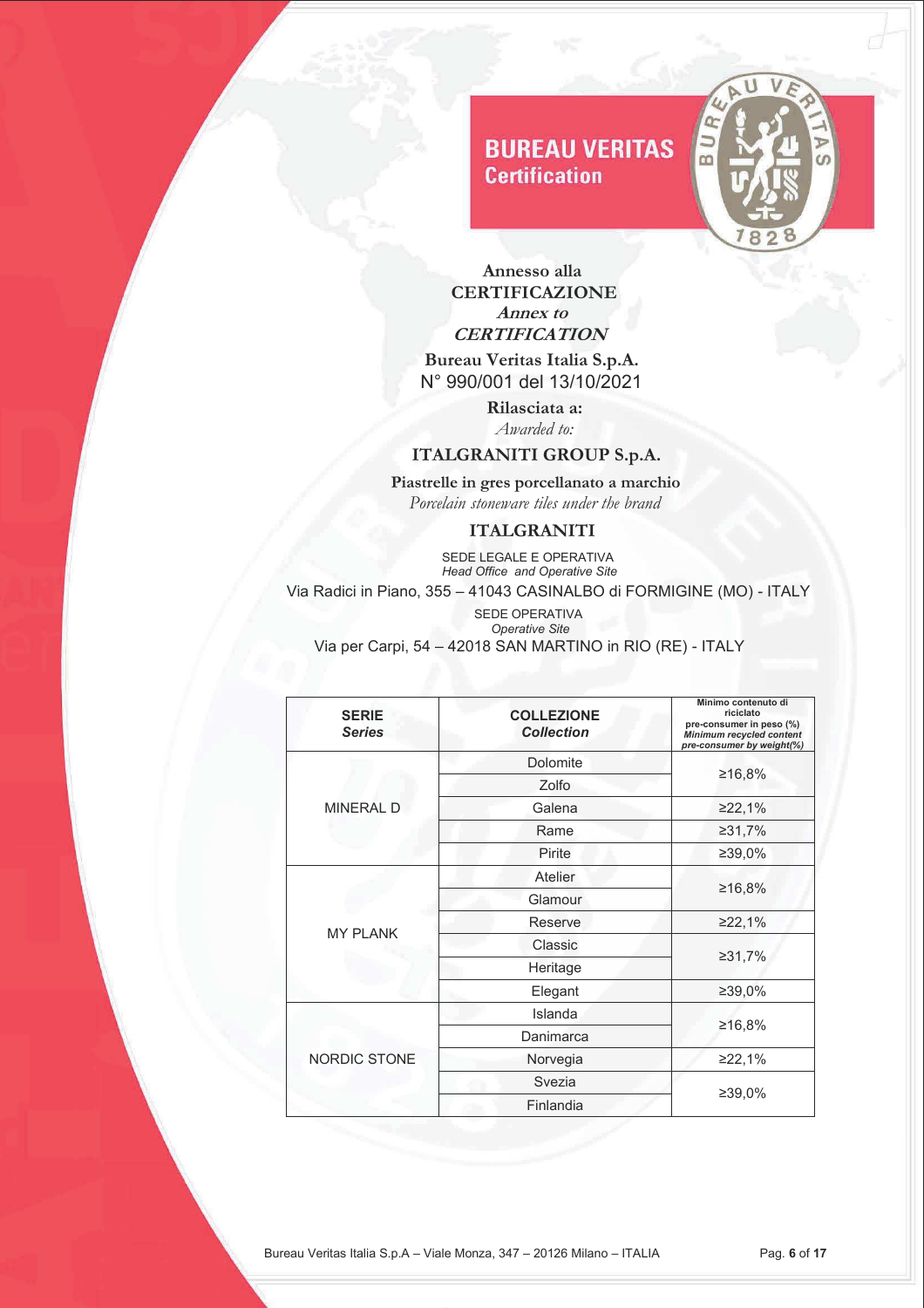

 **Annesso alla CERTIFICAZIONE Annex to CERTIFICATION** 

 **Bureau Veritas Italia S.p.A.** N° 990/001 del 13/10/2021

> **Rilasciata a:** *Awarded to:*

### **ITALGRANITI GROUP S.p.A.**

 **Piastrelle in gres porcellanato a marchio**   *Porcelain stoneware tiles under the brand* 

#### **ITALGRANITI**

**SEDE LEGALE E OPERATIVA**  *Head Office and Operative Site* Via Radici in Piano, 355 – 41043 CASINALBO di FORMIGINE (MO) - ITALY

| <b>SERIE</b><br><b>Series</b> | <b>COLLEZIONE</b><br><b>Collection</b> | Minimo contenuto di<br>riciclato<br>pre-consumer in peso (%)<br>Minimum recycled content<br>pre-consumer by weight(%) |
|-------------------------------|----------------------------------------|-----------------------------------------------------------------------------------------------------------------------|
|                               | <b>Dolomite</b>                        |                                                                                                                       |
|                               | Zolfo                                  | ≥16,8%                                                                                                                |
| <b>MINERAL D</b>              | Galena                                 | ≥22,1%                                                                                                                |
|                               | Rame                                   | ≥31,7%                                                                                                                |
|                               | Pirite                                 | ≥39,0%                                                                                                                |
|                               | Atelier                                |                                                                                                                       |
|                               | Glamour                                | ≥16,8%                                                                                                                |
|                               | Reserve                                | ≥22,1%                                                                                                                |
| <b>MY PLANK</b>               | Classic                                |                                                                                                                       |
|                               | Heritage                               | ≥31,7%                                                                                                                |
|                               | Elegant                                | ≥39,0%                                                                                                                |
|                               | Islanda                                |                                                                                                                       |
|                               | Danimarca                              | ≥16,8%                                                                                                                |
| <b>NORDIC STONE</b>           | Norvegia                               | ≥22,1%                                                                                                                |
|                               | Svezia                                 |                                                                                                                       |
|                               | Finlandia                              | ≥39,0%                                                                                                                |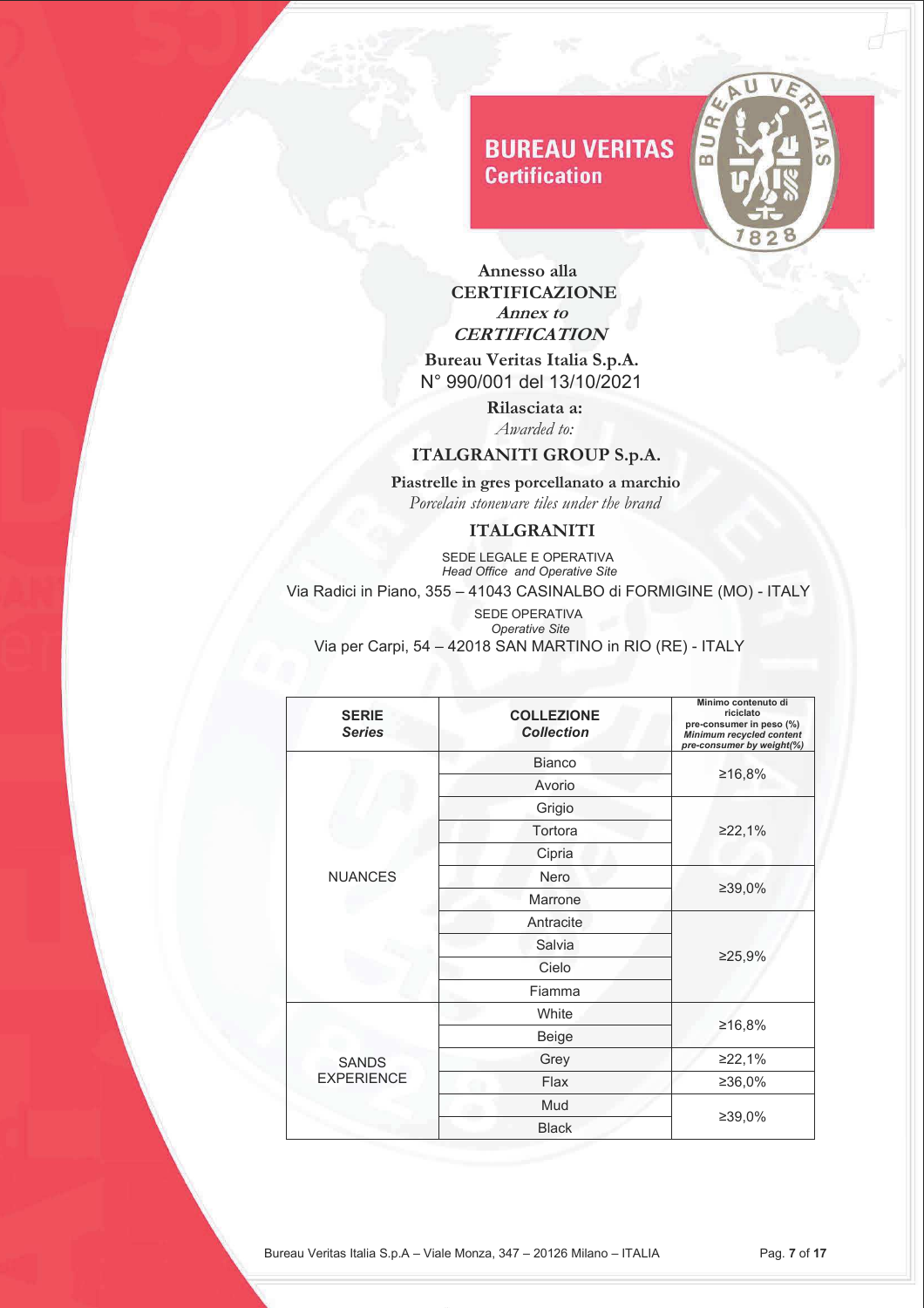

 **Annesso alla CERTIFICAZIONE Annex to CERTIFICATION** 

 **Bureau Veritas Italia S.p.A.** N° 990/001 del 13/10/2021

> **Rilasciata a:** *Awarded to:*

## **ITALGRANITI GROUP S.p.A.**

 **Piastrelle in gres porcellanato a marchio**   *Porcelain stoneware tiles under the brand* 

#### **ITALGRANITI**

**SEDE LEGALE E OPERATIVA**  *Head Office and Operative Site* Via Radici in Piano, 355 – 41043 CASINALBO di FORMIGINE (MO) - ITALY

| <b>SERIE</b><br><b>Series</b>     | <b>COLLEZIONE</b><br><b>Collection</b> | Minimo contenuto di<br>riciclato<br>pre-consumer in peso (%)<br><b>Minimum recycled content</b><br>pre-consumer by weight(%) |
|-----------------------------------|----------------------------------------|------------------------------------------------------------------------------------------------------------------------------|
|                                   | <b>Bianco</b>                          |                                                                                                                              |
|                                   | Avorio                                 | ≥16,8%                                                                                                                       |
|                                   | Grigio                                 |                                                                                                                              |
|                                   | Tortora                                | ≥22,1%                                                                                                                       |
|                                   | Cipria                                 |                                                                                                                              |
| <b>NUANCES</b>                    | Nero                                   |                                                                                                                              |
|                                   | Marrone                                | ≥39,0%                                                                                                                       |
|                                   | Antracite                              |                                                                                                                              |
|                                   | Salvia                                 |                                                                                                                              |
|                                   | Cielo                                  | ≥25,9%                                                                                                                       |
|                                   | Fiamma                                 |                                                                                                                              |
|                                   | White                                  |                                                                                                                              |
| <b>SANDS</b><br><b>EXPERIENCE</b> | Beige                                  | ≥16,8%                                                                                                                       |
|                                   | Grey                                   | ≥22,1%                                                                                                                       |
|                                   | Flax                                   | ≥36,0%                                                                                                                       |
|                                   | Mud                                    |                                                                                                                              |
|                                   | <b>Black</b>                           | ≥39,0%                                                                                                                       |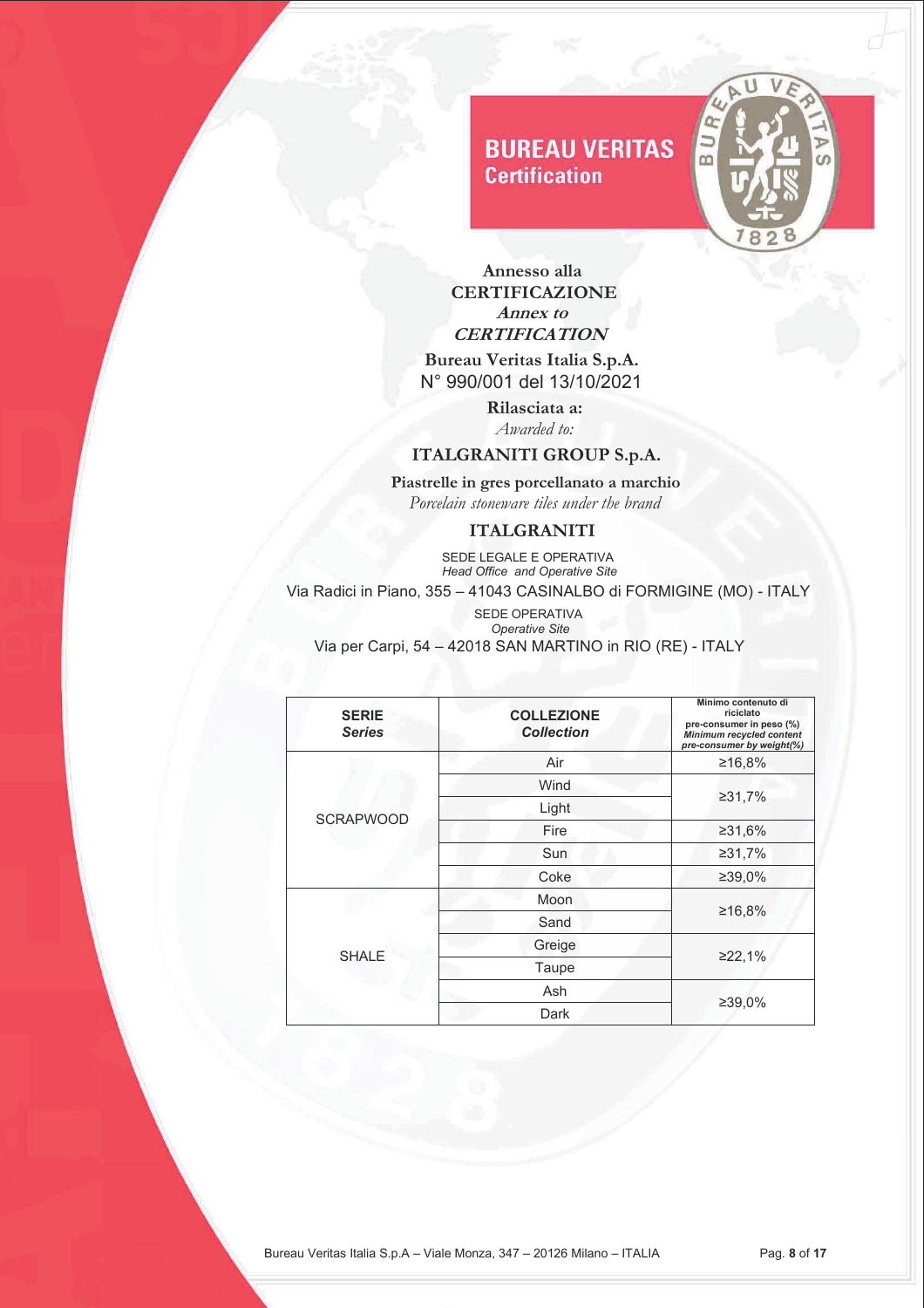

 **Annesso alla CERTIFICAZIONE Annex to CERTIFICATION** 

 **Bureau Veritas Italia S.p.A.** N° 990/001 del 13/10/2021

> **Rilasciata a:** *Awarded to:*

### **ITALGRANITI GROUP S.p.A.**

 **Piastrelle in gres porcellanato a marchio**   *Porcelain stoneware tiles under the brand* 

### **ITALGRANITI**

**SEDE LEGALE E OPERATIVA**  *Head Office and Operative Site* Via Radici in Piano, 355 – 41043 CASINALBO di FORMIGINE (MO) - ITALY

| <b>SERIE</b><br><b>Series</b> | <b>COLLEZIONE</b><br><b>Collection</b> | Minimo contenuto di<br>riciclato<br>pre-consumer in peso (%)<br>Minimum recycled content<br>pre-consumer by weight(%) |
|-------------------------------|----------------------------------------|-----------------------------------------------------------------------------------------------------------------------|
|                               | Air                                    | ≥16,8%                                                                                                                |
|                               | Wind                                   |                                                                                                                       |
|                               | Light                                  | ≥31,7%                                                                                                                |
| <b>SCRAPWOOD</b>              | Fire                                   | ≥31,6%                                                                                                                |
|                               | Sun                                    | ≥31,7%                                                                                                                |
|                               | Coke                                   | ≥39,0%                                                                                                                |
|                               | Moon                                   |                                                                                                                       |
| <b>SHALE</b>                  | Sand                                   | ≥16,8%                                                                                                                |
|                               | Greige                                 |                                                                                                                       |
|                               | Taupe                                  | ≥22,1%                                                                                                                |
|                               | Ash                                    |                                                                                                                       |
|                               | Dark                                   | ≥39,0%                                                                                                                |
|                               |                                        |                                                                                                                       |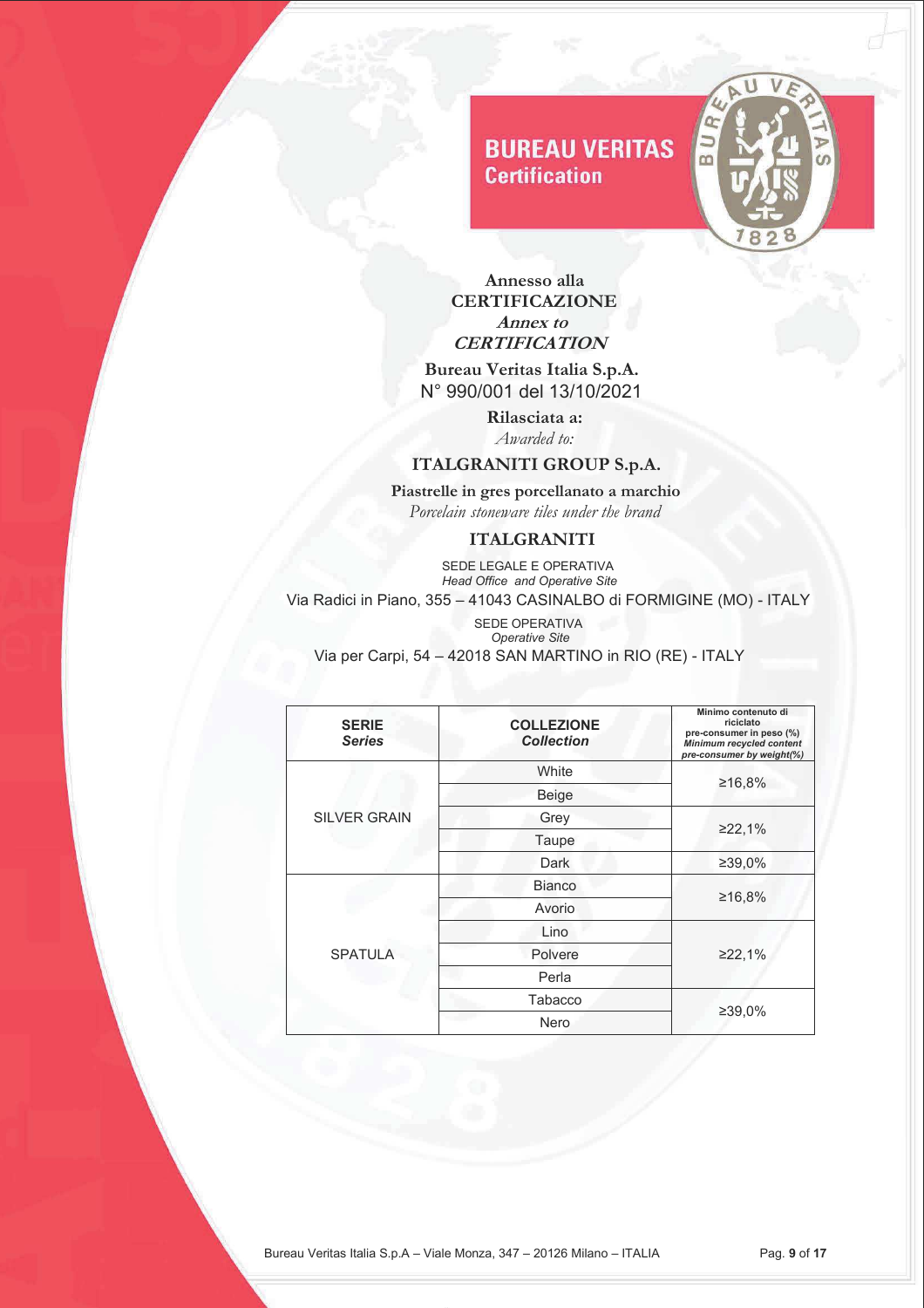

 **Annesso alla CERTIFICAZIONE Annex to CERTIFICATION** 

 **Bureau Veritas Italia S.p.A.** N° 990/001 del 13/10/2021

> **Rilasciata a:** *Awarded to:*

#### **ITALGRANITI GROUP S.p.A.**

 **Piastrelle in gres porcellanato a marchio**   *Porcelain stoneware tiles under the brand* 

### **ITALGRANITI**

**SEDE LEGALE E OPERATIVA** *Head Office and Operative Site*

Via Radici in Piano, 355 – 41043 CASINALBO di FORMIGINE (MO) - ITALY

 SEDE OPERATIVA  *Operative Site*

Via per Carpi, 54 – 42018 SAN MARTINO in RIO (RE) - ITALY

| <b>SERIE</b><br><b>Series</b> | <b>COLLEZIONE</b><br><b>Collection</b> | Minimo contenuto di<br>riciclato<br>pre-consumer in peso (%)<br>Minimum recycled content<br>pre-consumer by weight(%) |
|-------------------------------|----------------------------------------|-----------------------------------------------------------------------------------------------------------------------|
|                               | White                                  | ≥16,8%                                                                                                                |
|                               | Beige                                  |                                                                                                                       |
| <b>SILVER GRAIN</b>           | Grey                                   |                                                                                                                       |
|                               | Taupe                                  | ≥22,1%                                                                                                                |
|                               | Dark                                   | ≥39,0%                                                                                                                |
|                               | <b>Bianco</b>                          |                                                                                                                       |
|                               | Avorio                                 | ≥16,8%                                                                                                                |
|                               | Lino                                   |                                                                                                                       |
| <b>SPATULA</b>                | Polvere                                | ≥22,1%                                                                                                                |
|                               | Perla                                  |                                                                                                                       |
|                               | Tabacco                                |                                                                                                                       |
|                               | Nero                                   | ≥39,0%                                                                                                                |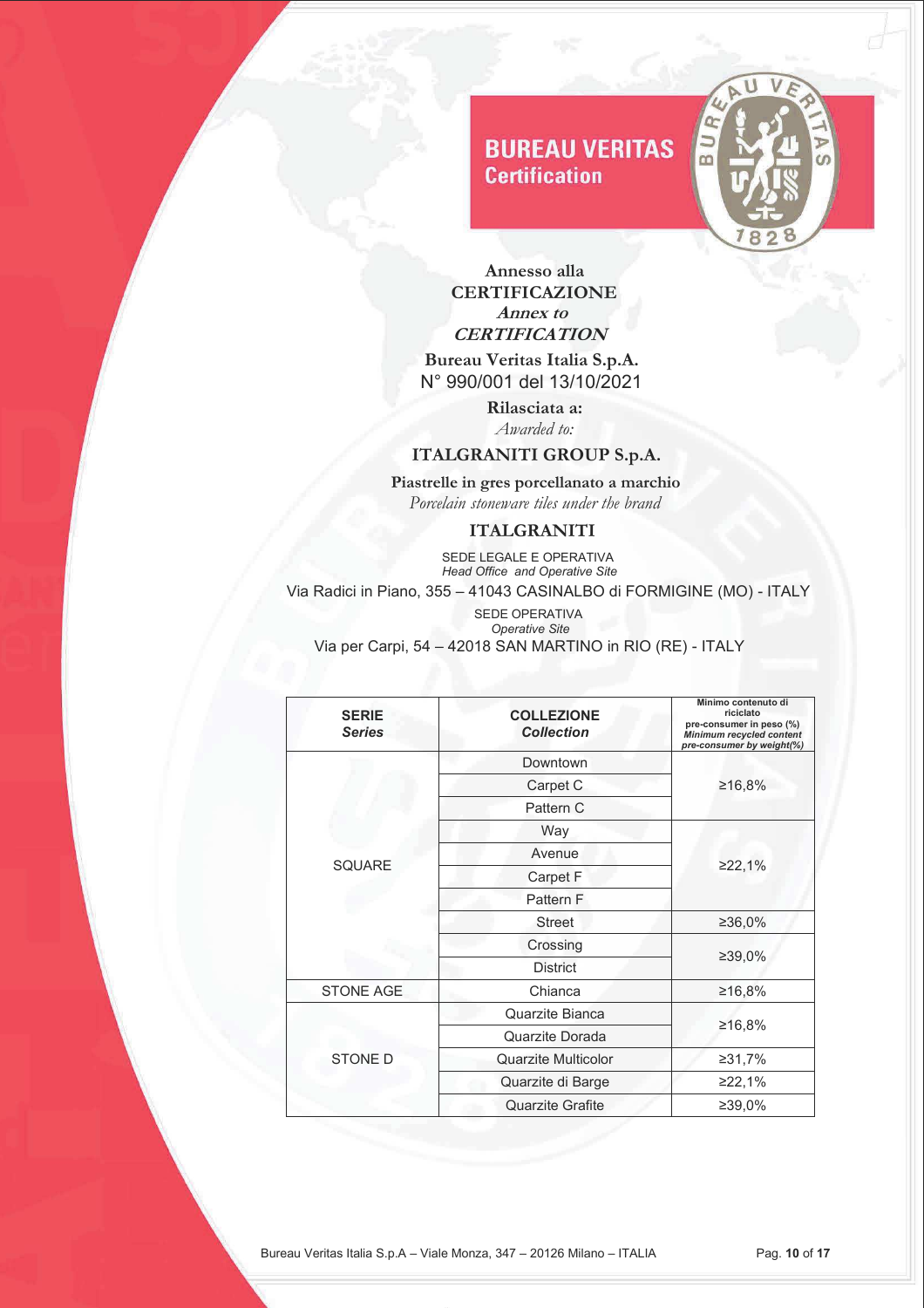

 **Annesso alla CERTIFICAZIONE Annex to CERTIFICATION** 

 **Bureau Veritas Italia S.p.A.** N° 990/001 del 13/10/2021

> **Rilasciata a:** *Awarded to:*

### **ITALGRANITI GROUP S.p.A.**

 **Piastrelle in gres porcellanato a marchio**   *Porcelain stoneware tiles under the brand* 

#### **ITALGRANITI**

**SEDE LEGALE E OPERATIVA**  *Head Office and Operative Site* Via Radici in Piano, 355 – 41043 CASINALBO di FORMIGINE (MO) - ITALY

| <b>SERIE</b><br><b>Series</b> | <b>COLLEZIONE</b><br><b>Collection</b> | Minimo contenuto di<br>riciclato<br>pre-consumer in peso (%)<br>Minimum recycled content<br>pre-consumer by weight(%) |
|-------------------------------|----------------------------------------|-----------------------------------------------------------------------------------------------------------------------|
|                               | Downtown                               | ≥16,8%                                                                                                                |
|                               | Carpet C                               |                                                                                                                       |
|                               | Pattern C                              |                                                                                                                       |
|                               | <b>Way</b>                             |                                                                                                                       |
|                               | Avenue                                 |                                                                                                                       |
| <b>SQUARE</b>                 | Carpet F                               | 222,1%                                                                                                                |
|                               | Pattern F                              |                                                                                                                       |
|                               | <b>Street</b>                          | ≥36,0%                                                                                                                |
|                               | Crossing                               | ≥39,0%                                                                                                                |
|                               | <b>District</b>                        |                                                                                                                       |
| <b>STONE AGE</b>              | Chianca                                | ≥16,8%                                                                                                                |
|                               | Quarzite Bianca                        |                                                                                                                       |
| <b>STONE D</b>                | Quarzite Dorada                        | ≥16,8%                                                                                                                |
|                               | <b>Quarzite Multicolor</b>             | ≥31,7%                                                                                                                |
|                               | Quarzite di Barge                      | ≥22,1%                                                                                                                |
|                               | <b>Quarzite Grafite</b>                | ≥39,0%                                                                                                                |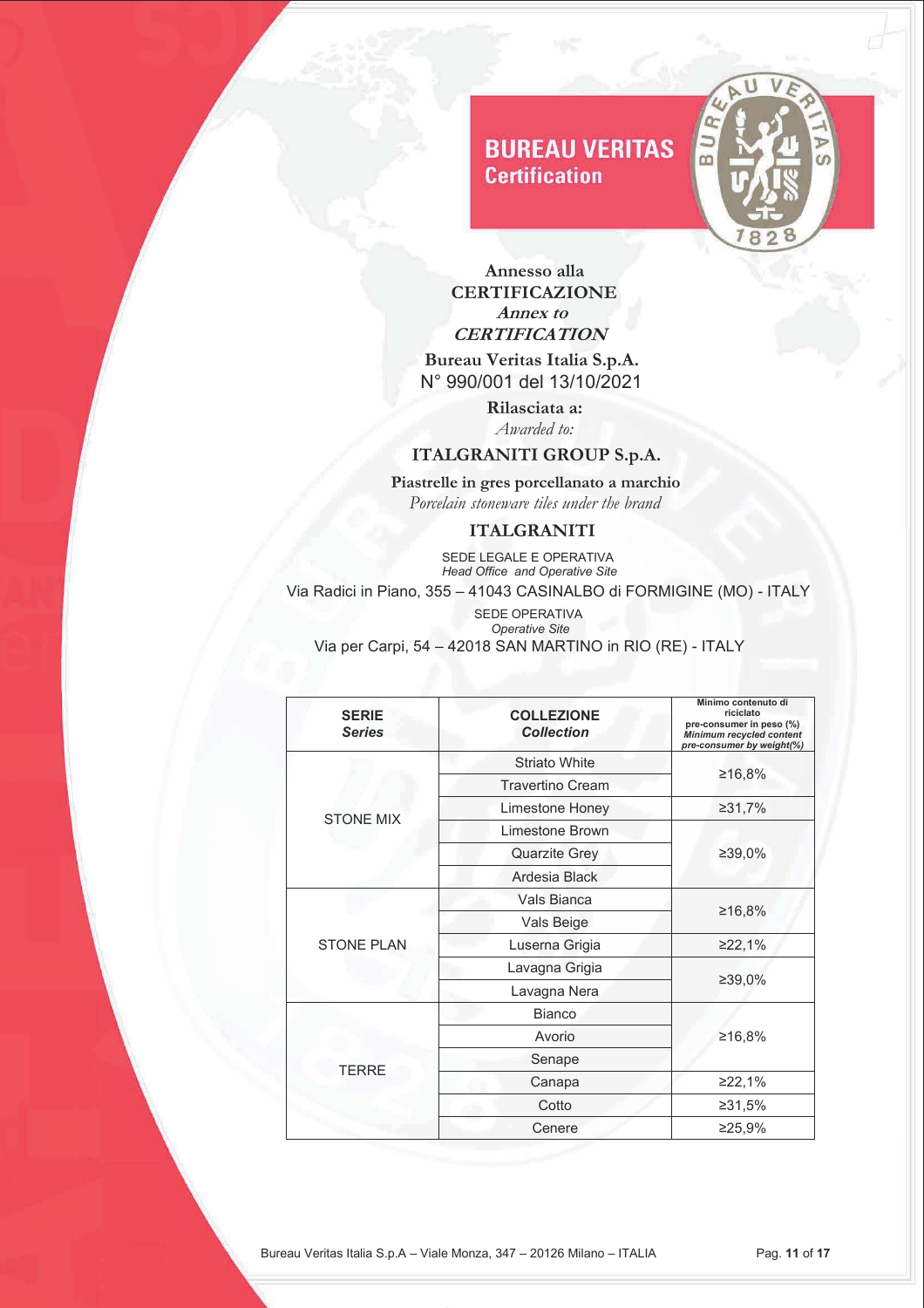

 **Annesso alla CERTIFICAZIONE Annex to CERTIFICATION** 

 **Bureau Veritas Italia S.p.A.** N° 990/001 del 13/10/2021

> **Rilasciata a:** *Awarded to:*

## **ITALGRANITI GROUP S.p.A.**

 **Piastrelle in gres porcellanato a marchio**   *Porcelain stoneware tiles under the brand* 

#### **ITALGRANITI**

**SEDE LEGALE E OPERATIVA**  *Head Office and Operative Site* Via Radici in Piano, 355 – 41043 CASINALBO di FORMIGINE (MO) - ITALY

| <b>SERIE</b><br><b>Series</b> | <b>COLLEZIONE</b><br><b>Collection</b> | Minimo contenuto di<br>riciclato<br>pre-consumer in peso (%)<br>Minimum recycled content<br>pre-consumer by weight(%) |
|-------------------------------|----------------------------------------|-----------------------------------------------------------------------------------------------------------------------|
|                               | <b>Striato White</b>                   |                                                                                                                       |
|                               | <b>Travertino Cream</b>                | ≥16,8%                                                                                                                |
| <b>STONE MIX</b>              | Limestone Honey                        | ≥31,7%                                                                                                                |
|                               | Limestone Brown                        |                                                                                                                       |
|                               | <b>Quarzite Grey</b>                   | ≥39,0%                                                                                                                |
|                               | Ardesia Black                          |                                                                                                                       |
|                               | Vals Bianca                            |                                                                                                                       |
|                               | Vals Beige                             | ≥16,8%                                                                                                                |
| <b>STONE PLAN</b>             | Luserna Grigia                         | ≥22,1%                                                                                                                |
|                               | Lavagna Grigia                         |                                                                                                                       |
|                               | Lavagna Nera                           | ≥39,0%                                                                                                                |
|                               | <b>Bianco</b>                          |                                                                                                                       |
| <b>TERRE</b>                  | Avorio                                 | ≥16,8%                                                                                                                |
|                               | Senape                                 |                                                                                                                       |
|                               | Canapa                                 | ≥22,1%                                                                                                                |
|                               | Cotto                                  | ≥31,5%                                                                                                                |
|                               | Cenere                                 | ≥25,9%                                                                                                                |
|                               |                                        |                                                                                                                       |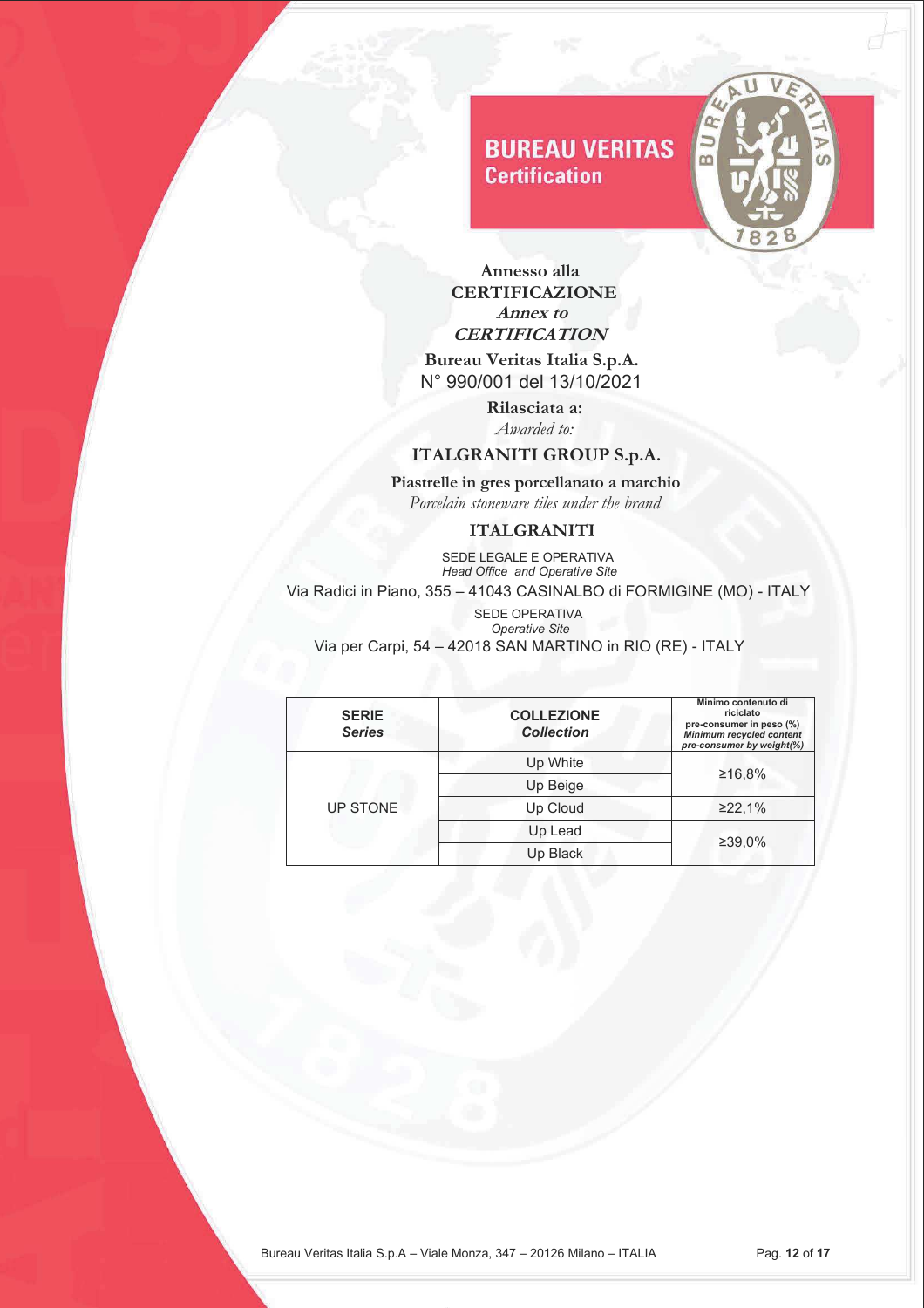

 **Annesso alla CERTIFICAZIONE Annex to CERTIFICATION** 

 **Bureau Veritas Italia S.p.A.** N° 990/001 del 13/10/2021

> **Rilasciata a:** *Awarded to:*

### **ITALGRANITI GROUP S.p.A.**

 **Piastrelle in gres porcellanato a marchio**   *Porcelain stoneware tiles under the brand* 

### **ITALGRANITI**

**SEDE LEGALE E OPERATIVA**  *Head Office and Operative Site* Via Radici in Piano, 355 – 41043 CASINALBO di FORMIGINE (MO) - ITALY

| <b>SERIE</b><br><b>Series</b> | <b>COLLEZIONE</b><br><b>Collection</b> | Minimo contenuto di<br>riciclato<br>pre-consumer in peso (%)<br><b>Minimum recycled content</b><br>pre-consumer by weight(%) |
|-------------------------------|----------------------------------------|------------------------------------------------------------------------------------------------------------------------------|
| UP STONE                      | Up White                               |                                                                                                                              |
|                               | Up Beige                               | ≥16,8%                                                                                                                       |
|                               | Up Cloud                               | ≥22,1%                                                                                                                       |
|                               | Up Lead                                | ≥39,0%                                                                                                                       |
|                               | Up Black                               |                                                                                                                              |